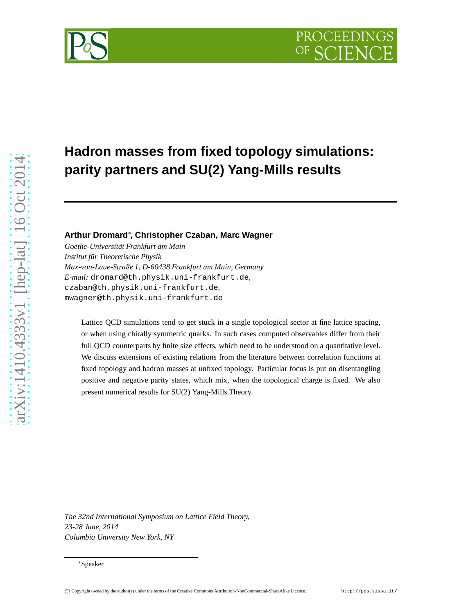# **Hadron masses from fixed topology simulations: parity partners and SU(2) Yang-Mills results**

## **Arthur Dromard**<sup>∗</sup> **, Christopher Czaban, Marc Wagner**

*Goethe-Universität Frankfurt am Main Institut für Theoretische Physik Max-von-Laue-Straße 1, D-60438 Frankfurt am Main, Germany E-mail:* dromard@th.physik.uni-frankfurt.de*,* czaban@th.physik.uni-frankfurt.de*,* mwagner@th.physik.uni-frankfurt.de

Lattice QCD simulations tend to get stuck in a single topological sector at fine lattice spacing, or when using chirally symmetric quarks. In such cases computed observables differ from their full QCD counterparts by finite size effects, which need to be understood on a quantitative level. We discuss extensions of existing relations from the literature between correlation functions at fixed topology and hadron masses at unfixed topology. Particular focus is put on disentangling positive and negative parity states, which mix, when the topological charge is fixed. We also present numerical results for SU(2) Yang-Mills Theory.

*The 32nd International Symposium on Lattice Field Theory, 23-28 June, 2014 Columbia University New York, NY*



<sup>∗</sup>Speaker.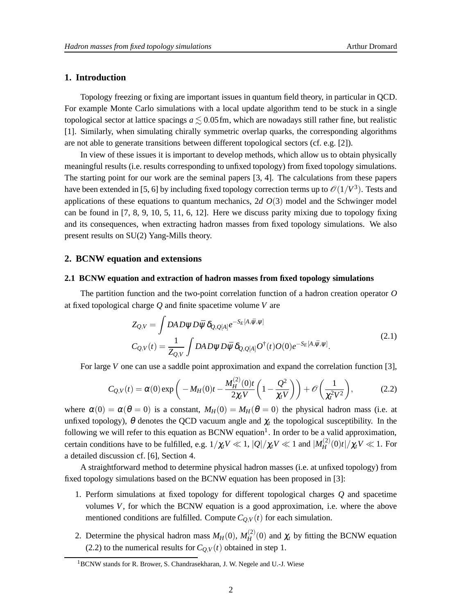## **1. Introduction**

Topology freezing or fixing are important issues in quantum field theory, in particular in QCD. For example Monte Carlo simulations with a local update algorithm tend to be stuck in a single topological sector at lattice spacings  $a \leq 0.05$  fm, which are nowadays still rather fine, but realistic [1]. Similarly, when simulating chirally symmetric overlap quarks, the corresponding algorithms are not able to generate transitions between different topological sectors (cf. e.g. [2]).

In view of these issues it is important to develop methods, which allow us to obtain physically meaningful results (i.e. results corresponding to unfixed topology) from fixed topology simulations. The starting point for our work are the seminal papers [3, 4]. The calculations from these papers have been extended in [5, 6] by including fixed topology correction terms up to  $\mathcal{O}(1/V^3)$ . Tests and applications of these equations to quantum mechanics, 2*d O*(3) model and the Schwinger model can be found in [7, 8, 9, 10, 5, 11, 6, 12]. Here we discuss parity mixing due to topology fixing and its consequences, when extracting hadron masses from fixed topology simulations. We also present results on SU(2) Yang-Mills theory.

#### **2. BCNW equation and extensions**

#### **2.1 BCNW equation and extraction of hadron masses from fixed topology simulations**

The partition function and the two-point correlation function of a hadron creation operator *O* at fixed topological charge *Q* and finite spacetime volume *V* are

$$
Z_{Q,V} = \int DA D \psi D \bar{\psi} \, \delta_{Q,Q[A]} e^{-S_E[A,\bar{\psi},\psi]}
$$
  
\n
$$
C_{Q,V}(t) = \frac{1}{Z_{Q,V}} \int DA D \psi D \bar{\psi} \, \delta_{Q,Q[A]} O^{\dagger}(t) O(0) e^{-S_E[A,\bar{\psi},\psi]}.
$$
\n(2.1)

For large *V* one can use a saddle point approximation and expand the correlation function [3],

$$
C_{Q,V}(t) = \alpha(0) \exp\bigg(-M_H(0)t - \frac{M_H^{(2)}(0)t}{2\chi_t V} \bigg(1 - \frac{Q^2}{\chi_t V}\bigg)\bigg) + \mathcal{O}\bigg(\frac{1}{\chi_t^2 V^2}\bigg),\tag{2.2}
$$

where  $\alpha(0) = \alpha(\theta = 0)$  is a constant,  $M_H(0) = M_H(\theta = 0)$  the physical hadron mass (i.e. at unfixed topology),  $\theta$  denotes the QCD vacuum angle and  $\chi_t$  the topological susceptibility. In the following we will refer to this equation as BCNW equation<sup>1</sup>. In order to be a valid approximation, certain conditions have to be fulfilled, e.g.  $1/\chi_t V \ll 1$ ,  $|Q|/\chi_t V \ll 1$  and  $|M_H^{(2)}|$  $H_H^{(2)}(0)t)/\chi_t V \ll 1$ . For a detailed discussion cf. [6], Section 4.

A straightforward method to determine physical hadron masses (i.e. at unfixed topology) from fixed topology simulations based on the BCNW equation has been proposed in [3]:

- 1. Perform simulations at fixed topology for different topological charges *Q* and spacetime volumes *V*, for which the BCNW equation is a good approximation, i.e. where the above mentioned conditions are fulfilled. Compute  $C_{Q,V}(t)$  for each simulation.
- 2. Determine the physical hadron mass  $M_H(0)$ ,  $M_H^{(2)}$  $H_H^{(2)}(0)$  and  $\chi_t$  by fitting the BCNW equation (2.2) to the numerical results for  $C_{Q,V}(t)$  obtained in step 1.

<sup>&</sup>lt;sup>1</sup>BCNW stands for R. Brower, S. Chandrasekharan, J. W. Negele and U.-J. Wiese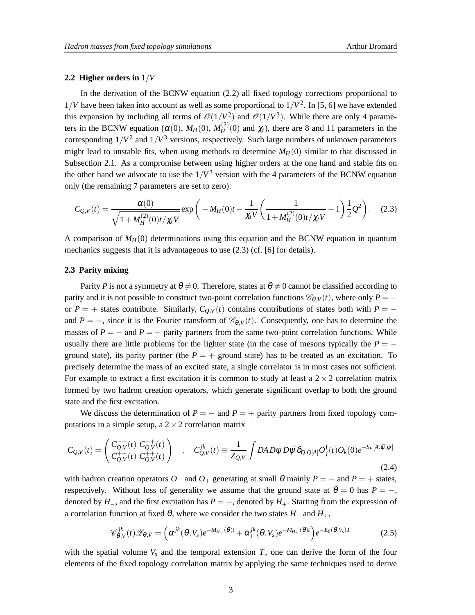#### **2.2 Higher orders in** 1/*V*

In the derivation of the BCNW equation (2.2) all fixed topology corrections proportional to  $1/V$  have been taken into account as well as some proportional to  $1/V<sup>2</sup>$ . In [5, 6] we have extended this expansion by including all terms of  $\mathcal{O}(1/V^2)$  and  $\mathcal{O}(1/V^3)$ . While there are only 4 parameters in the BCNW equation ( $\alpha(0)$ ,  $M_H(0)$ ,  $M_H^{(2)}$  $H_H^{(2)}(0)$  and  $\chi_t$ ), there are 8 and 11 parameters in the corresponding  $1/V^2$  and  $1/V^3$  versions, respectively. Such large numbers of unknown parameters might lead to unstable fits, when using methods to determine  $M_H(0)$  similar to that discussed in Subsection 2.1. As a compromise between using higher orders at the one hand and stable fits on the other hand we advocate to use the  $1/V^3$  version with the 4 parameters of the BCNW equation only (the remaining 7 parameters are set to zero):

$$
C_{Q,V}(t) = \frac{\alpha(0)}{\sqrt{1 + M_H^{(2)}(0)t/\chi_t V}} \exp\left(-M_H(0)t - \frac{1}{\chi_t V} \left(\frac{1}{1 + M_H^{(2)}(0)t/\chi_t V} - 1\right) \frac{1}{2} Q^2\right).
$$
 (2.3)

A comparison of  $M_H(0)$  determinations using this equation and the BCNW equation in quantum mechanics suggests that it is advantageous to use (2.3) (cf. [6] for details).

#### **2.3 Parity mixing**

Parity *P* is not a symmetry at  $\theta \neq 0$ . Therefore, states at  $\theta \neq 0$  cannot be classified according to parity and it is not possible to construct two-point correlation functions  $\mathcal{C}_{\theta,V}(t)$ , where only *P* = − or  $P = +$  states contribute. Similarly,  $C_{Q,V}(t)$  contains contributions of states both with  $P =$ and  $P = +$ , since it is the Fourier transform of  $\mathcal{C}_{\theta,V}(t)$ . Consequently, one has to determine the masses of  $P = -$  and  $P = +$  parity partners from the same two-point correlation functions. While usually there are little problems for the lighter state (in the case of mesons typically the  $P =$ ground state), its parity partner (the  $P = +$  ground state) has to be treated as an excitation. To precisely determine the mass of an excited state, a single correlator is in most cases not sufficient. For example to extract a first excitation it is common to study at least a  $2 \times 2$  correlation matrix formed by two hadron creation operators, which generate significant overlap to both the ground state and the first excitation.

We discuss the determination of  $P = -$  and  $P = +$  parity partners from fixed topology computations in a simple setup, a  $2 \times 2$  correlation matrix

$$
C_{Q,V}(t) = \begin{pmatrix} C_{Q,V}^{-}(t) & C_{Q,V}^{-}(t) \\ C_{Q,V}^{+-}(t) & C_{Q,V}^{++}(t) \end{pmatrix} , C_{Q,V}^{jk}(t) \equiv \frac{1}{Z_{Q,V}} \int DA D \psi D \bar{\psi} \, \delta_{Q,Q[A]} O_j^{\dagger}(t) O_k(0) e^{-S_E[A, \bar{\psi}, \psi]} \tag{2.4}
$$

with hadron creation operators  $O_-\$  and  $O_+$  generating at small  $\theta$  mainly  $P = -$  and  $P = +$  states, respectively. Without loss of generality we assume that the ground state at  $\theta = 0$  has  $P = -$ , denoted by  $H_$ , and the first excitation has  $P = +$ , denoted by  $H_+$ . Starting from the expression of a correlation function at fixed  $\theta$ , where we consider the two states  $H_-\$  and  $H_+$ ,

$$
\mathscr{C}_{\theta,V}^{jk}(t)\mathscr{Z}_{\theta,V} = \left(\alpha_-^{jk}(\theta,V_s)e^{-M_{H-}(\theta)t} + \alpha_+^{jk}(\theta,V_s)e^{-M_{H+}(\theta)t}\right)e^{-E_0(\theta,V_s)T}
$$
(2.5)

with the spatial volume  $V_s$  and the temporal extension  $T_s$ , one can derive the form of the four elements of the fixed topology correlation matrix by applying the same techniques used to derive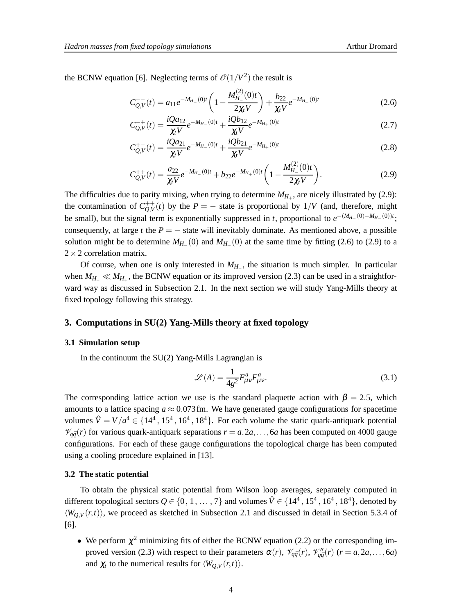the BCNW equation [6]. Neglecting terms of  $\mathcal{O}(1/V^2)$  the result is

$$
C_{Q,V}^{-}(t) = a_{11}e^{-M_{H_{-}}(0)t} \left(1 - \frac{M_{H_{-}}^{(2)}(0)t}{2\chi_{t}V}\right) + \frac{b_{22}}{\chi_{t}V}e^{-M_{H_{+}}(0)t}
$$
(2.6)

$$
C_{Q,V}^{-+}(t) = \frac{iQa_{12}}{\chi_t V} e^{-M_{H-}(0)t} + \frac{iQb_{12}}{\chi_t V} e^{-M_{H+}(0)t}
$$
\n(2.7)

$$
C_{Q,V}^{+-}(t) = \frac{iQa_{21}}{\chi_t V} e^{-M_{H-}(0)t} + \frac{iQb_{21}}{\chi_t V} e^{-M_{H+}(0)t}
$$
\n(2.8)

 $(2)$ 

$$
C_{Q,V}^{++}(t) = \frac{a_{22}}{\chi_t V} e^{-M_{H-}(0)t} + b_{22} e^{-M_{H+}(0)t} \left(1 - \frac{M_{H-}^{(2)}(0)t}{2\chi_t V}\right).
$$
 (2.9)

The difficulties due to parity mixing, when trying to determine  $M_{H_+}$ , are nicely illustrated by (2.9): the contamination of  $C_{Q,V}^{++}(t)$  by the  $P = -$  state is proportional by  $1/V$  (and, therefore, might be small), but the signal term is exponentially suppressed in *t*, proportional to  $e^{-(M_{H_+}(0)-M_{H_-}(0))t}$ ; consequently, at large *t* the  $P = -$  state will inevitably dominate. As mentioned above, a possible solution might be to determine  $M_{H_{-}}(0)$  and  $M_{H_{+}}(0)$  at the same time by fitting (2.6) to (2.9) to a  $2 \times 2$  correlation matrix.

Of course, when one is only interested in  $M_{H}$ , the situation is much simpler. In particular when  $M_{H_+} \ll M_{H_+}$ , the BCNW equation or its improved version (2.3) can be used in a straightforward way as discussed in Subsection 2.1. In the next section we will study Yang-Mills theory at fixed topology following this strategy.

#### **3. Computations in SU(2) Yang-Mills theory at fixed topology**

#### **3.1 Simulation setup**

In the continuum the SU(2) Yang-Mills Lagrangian is

$$
\mathcal{L}(A) = \frac{1}{4g^2} F^a_{\mu\nu} F^a_{\mu\nu}.
$$
 (3.1)

The corresponding lattice action we use is the standard plaquette action with  $\beta = 2.5$ , which amounts to a lattice spacing  $a \approx 0.073$  fm. We have generated gauge configurations for spacetime volumes  $\hat{V} = V/a^4 \in \{14^4, 15^4, 16^4, 18^4\}$ . For each volume the static quark-antiquark potential  $\mathcal{V}_{a\bar{a}}(r)$  for various quark-antiquark separations  $r = a, 2a, ..., 6a$  has been computed on 4000 gauge configurations. For each of these gauge configurations the topological charge has been computed using a cooling procedure explained in [13].

#### **3.2 The static potential**

To obtain the physical static potential from Wilson loop averages, separately computed in different topological sectors  $Q \in \{0, 1, ..., 7\}$  and volumes  $\hat{V} \in \{14^4, 15^4, 16^4, 18^4\}$ , denoted by  $\langle W_{Q,V}(r,t) \rangle$ , we proceed as sketched in Subsection 2.1 and discussed in detail in Section 5.3.4 of [6].

• We perform  $\chi^2$  minimizing fits of either the BCNW equation (2.2) or the corresponding improved version (2.3) with respect to their parameters  $\alpha(r)$ ,  $\mathcal{V}_{q\bar{q}}(r)$ ,  $\mathcal{V}_{q\bar{q}}''(r)$  ( $r = a, 2a, ..., 6a$ ) and  $\chi_t$  to the numerical results for  $\langle W_{Q,V}(r,t) \rangle$ .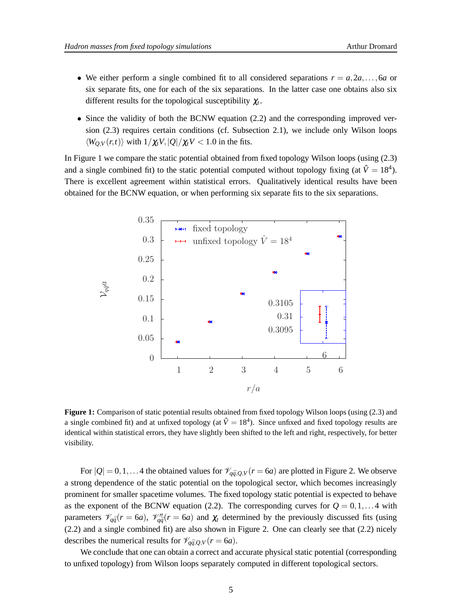- We either perform a single combined fit to all considered separations  $r = a, 2a, \ldots, 6a$  or six separate fits, one for each of the six separations. In the latter case one obtains also six different results for the topological susceptibility <sup>χ</sup>*<sup>t</sup>* .
- Since the validity of both the BCNW equation (2.2) and the corresponding improved version (2.3) requires certain conditions (cf. Subsection 2.1), we include only Wilson loops  $\langle W_{Q,V}(r,t) \rangle$  with  $1/\chi_t V, |Q|/\chi_t V < 1.0$  in the fits.

In Figure 1 we compare the static potential obtained from fixed topology Wilson loops (using (2.3) and a single combined fit) to the static potential computed without topology fixing (at  $\hat{V} = 18^4$ ). There is excellent agreement within statistical errors. Qualitatively identical results have been obtained for the BCNW equation, or when performing six separate fits to the six separations.



**Figure 1:** Comparison of static potential results obtained from fixed topology Wilson loops (using (2.3) and a single combined fit) and at unfixed topology (at  $\hat{V} = 18^4$ ). Since unfixed and fixed topology results are identical within statistical errors, they have slightly been shifted to the left and right, respectively, for better visibility.

For  $|Q| = 0, 1, \ldots 4$  the obtained values for  $\mathcal{V}_{q\bar{q},Q,V}(r=6a)$  are plotted in Figure 2. We observe a strong dependence of the static potential on the topological sector, which becomes increasingly prominent for smaller spacetime volumes. The fixed topology static potential is expected to behave as the exponent of the BCNW equation (2.2). The corresponding curves for  $Q = 0, 1, \ldots, 4$  with parameters  $\mathcal{V}_{q\bar{q}}(r=6a)$ ,  $\mathcal{V}_{q\bar{q}}''(r=6a)$  and  $\chi_t$  determined by the previously discussed fits (using (2.2) and a single combined fit) are also shown in Figure 2. One can clearly see that (2.2) nicely describes the numerical results for  $\mathcal{V}_{q\bar{q},Q,V}(r=6a)$ .

We conclude that one can obtain a correct and accurate physical static potential (corresponding to unfixed topology) from Wilson loops separately computed in different topological sectors.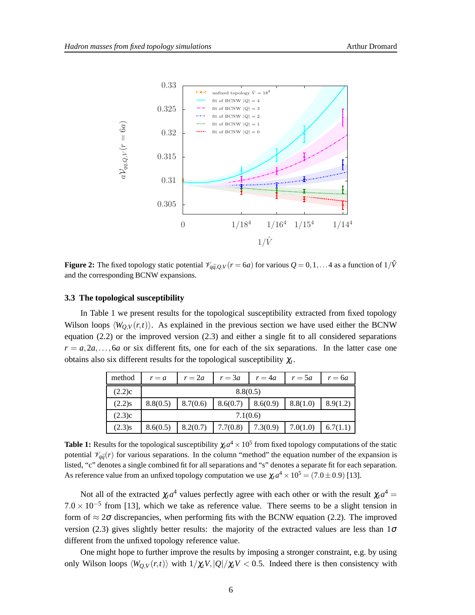

**Figure 2:** The fixed topology static potential  $\mathcal{V}_{q\bar{q},Q,V}(r=6a)$  for various  $Q=0,1,...4$  as a function of  $1/\hat{V}$ and the corresponding BCNW expansions.

#### **3.3 The topological susceptibility**

In Table 1 we present results for the topological susceptibility extracted from fixed topology Wilson loops  $\langle W_{Q,V}(r,t) \rangle$ . As explained in the previous section we have used either the BCNW equation (2.2) or the improved version (2.3) and either a single fit to all considered separations  $r = a, 2a, \ldots, 6a$  or six different fits, one for each of the six separations. In the latter case one obtains also six different results for the topological susceptibility <sup>χ</sup>*<sup>t</sup>* .

| method    | $r = a$  | $r=2a$   | $r = 3a$ | $r = 4a$ | $r = 5a$ | $r = 6a$ |
|-----------|----------|----------|----------|----------|----------|----------|
| (2.2)c    | 8.8(0.5) |          |          |          |          |          |
| $(2.2)$ s | 8.8(0.5) | 8.7(0.6) | 8.6(0.7) | 8.6(0.9) | 8.8(1.0) | 8.9(1.2) |
| (2.3)c    | 7.1(0.6) |          |          |          |          |          |
| $(2.3)$ s | 8.6(0.5) | 8.2(0.7) | 7.7(0.8) | 7.3(0.9) | 7.0(1.0) | 6.7(1.1) |

**Table 1:** Results for the topological susceptibility  $\chi_t a^4 \times 10^5$  from fixed topology computations of the static potential  $\mathcal{V}_{q\bar{q}}(r)$  for various separations. In the column "method" the equation number of the expansion is listed, "c" denotes a single combined fit for all separations and "s" denotes a separate fit for each separation. As reference value from an unfixed topology computation we use  $\chi_t a^4 \times 10^5 = (7.0 \pm 0.9)$  [13].

Not all of the extracted  $\chi_t a^4$  values perfectly agree with each other or with the result  $\chi_t a^4 =$  $7.0 \times 10^{-5}$  from [13], which we take as reference value. There seems to be a slight tension in form of  $\approx 2\sigma$  discrepancies, when performing fits with the BCNW equation (2.2). The improved version (2.3) gives slightly better results: the majority of the extracted values are less than  $1\sigma$ different from the unfixed topology reference value.

One might hope to further improve the results by imposing a stronger constraint, e.g. by using only Wilson loops  $\langle W_{Q,V}(r,t) \rangle$  with  $1/\chi_t V, |Q|/\chi_t V < 0.5$ . Indeed there is then consistency with